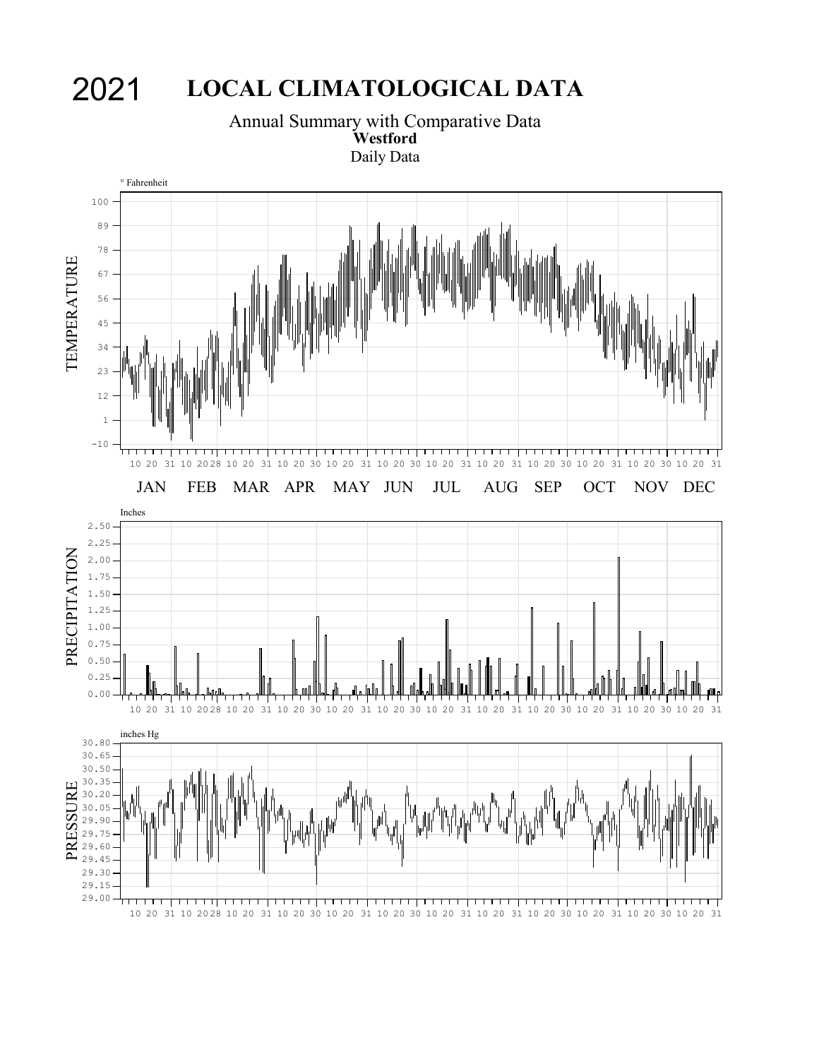# 2021 **LOCAL CLIMATOLOGICAL DATA**

Annual Summary with Comparative Data **Westford** Daily Data

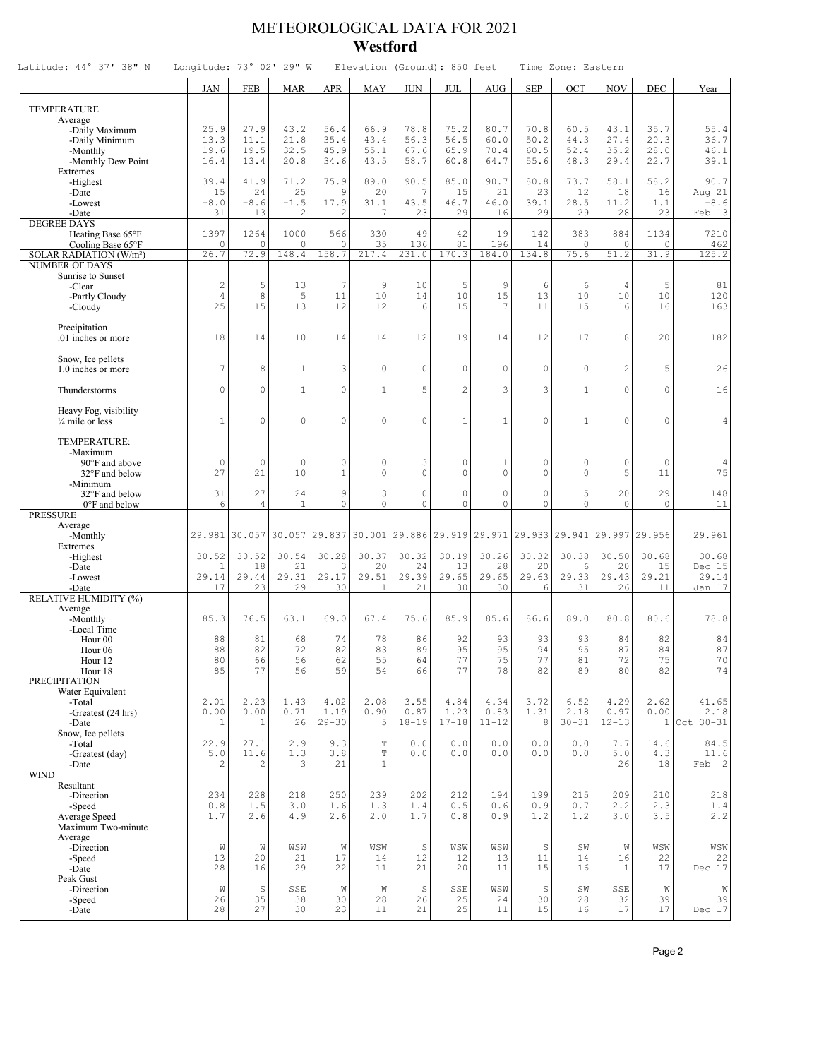### METEOROLOGICAL DATA FOR 2021 **Westford**

| Latitude: 44° 37' 38" N                   | Longitude: 73° 02' 29" W |                |               |                  |                        | Elevation (Ground): 850 feet                            |                     |                  |                     | Time Zone: Eastern      |                |               |                |
|-------------------------------------------|--------------------------|----------------|---------------|------------------|------------------------|---------------------------------------------------------|---------------------|------------------|---------------------|-------------------------|----------------|---------------|----------------|
|                                           | <b>JAN</b>               | <b>FEB</b>     | <b>MAR</b>    | <b>APR</b>       | <b>MAY</b>             | <b>JUN</b>                                              | JUL                 | <b>AUG</b>       | <b>SEP</b>          | OCT                     | <b>NOV</b>     | DEC           | Year           |
| TEMPERATURE                               |                          |                |               |                  |                        |                                                         |                     |                  |                     |                         |                |               |                |
| Average                                   |                          |                |               |                  |                        |                                                         |                     |                  |                     |                         |                |               |                |
| -Daily Maximum<br>-Daily Minimum          | 25.9<br>13.3             | 27.9<br>11.1   | 43.2<br>21.8  | 56.4<br>35.4     | 66.9<br>43.4           | 78.8<br>56.3                                            | 75.2<br>56.5        | 80.7<br>60.0     | 70.8<br>50.2        | 60.5<br>44.3            | 43.1<br>27.4   | 35.7<br>20.3  | 55.4<br>36.7   |
| -Monthly                                  | 19.6                     | 19.5           | 32.5          | 45.9             | 55.1                   | 67.6                                                    | 65.9                | 70.4             | 60.5                | 52.4                    | 35.2           | 28.0          | 46.1           |
| -Monthly Dew Point                        | 16.4                     | 13.4           | 20.8          | 34.6             | 43.5                   | 58.7                                                    | 60.8                | 64.7             | 55.6                | 48.3                    | 29.4           | 22.7          | 39.1           |
| Extremes                                  |                          |                |               |                  |                        |                                                         |                     |                  |                     |                         |                |               |                |
| -Highest<br>-Date                         | 39.4<br>15               | 41.9<br>24     | 71.2<br>25    | 75.9<br>9        | 89.0<br>20             | 90.5<br>7                                               | 85.0<br>15          | 90.7<br>21       | 80.8<br>23          | 73.7<br>12              | 58.1<br>18     | 58.2<br>16    | 90.7<br>Aug 21 |
| -Lowest                                   | $-8.0$                   | $-8.6$         | $-1.5$        | 17.9             | 31.1                   | 43.5                                                    | 46.7                | 46.0             | 39.1                | 28.5                    | 11.2           | 1.1           | $-8.6$         |
| -Date                                     | 31                       | 13             | 2             | 2                |                        | 23                                                      | 29                  | 16               | 29                  | 29                      | 28             | 23            | Feb 13         |
| <b>DEGREE DAYS</b>                        | 1397                     | 1264           | 1000          | 566              | 330                    | 49                                                      | 42                  | 19               | 142                 | 383                     | 884            | 1134          | 7210           |
| Heating Base 65°F<br>Cooling Base 65°F    | 0                        | $\circ$        | $\circ$       | $\circ$          | 35                     | 136                                                     | 81                  | 196              | 14                  | $\circ$                 | $\mathbf 0$    | $\circ$       | 462            |
| SOLAR RADIATION (W/m <sup>2</sup> )       | 26.7                     | 72.9           | 148.4         | 158.7            | 217.4                  | 231.0                                                   | 170.3               | 184.0            | 134.8               | 75.6                    | 51.2           | 31.9          | 125.2          |
| <b>NUMBER OF DAYS</b>                     |                          |                |               |                  |                        |                                                         |                     |                  |                     |                         |                |               |                |
| Sunrise to Sunset<br>-Clear               | $\sqrt{2}$               | 5              | 13            | $\boldsymbol{7}$ | 9                      | 10                                                      | 5                   | 9                | 6                   | 6                       | $\overline{4}$ | 5             | 81             |
| -Partly Cloudy                            | 4                        | 8              | 5             | 11               | 10                     | 14                                                      | 10                  | 15               | 13                  | 10                      | 10             | 10            | 120            |
| -Cloudy                                   | 25                       | 15             | 13            | 12               | 12                     | 6                                                       | 15                  | 7                | 11                  | 1.5                     | 16             | 16            | 163            |
|                                           |                          |                |               |                  |                        |                                                         |                     |                  |                     |                         |                |               |                |
| Precipitation<br>.01 inches or more       | 18                       | 14             | 10            | 14               | 14                     | 12                                                      | 19                  | 14               | 12                  | 17                      | 18             | 20            | 182            |
|                                           |                          |                |               |                  |                        |                                                         |                     |                  |                     |                         |                |               |                |
| Snow, Ice pellets                         | 7                        |                |               |                  |                        |                                                         |                     |                  |                     |                         |                |               |                |
| 1.0 inches or more                        |                          | 8              | $\mathbf{1}$  | 3                | 0                      | $\mathbb O$                                             | $\mathbf{0}$        | 0                | $\mathbf 0$         | $\mathbf 0$             | $\overline{2}$ | 5             | 26             |
| Thunderstorms                             | $\Omega$                 | $\Omega$       | $\mathbf{1}$  | $\circ$          | $\mathbf{1}$           | 5                                                       | $\overline{2}$      | 3                | 3                   | $\mathbf{1}$            | $\circ$        | $\circ$       | 16             |
|                                           |                          |                |               |                  |                        |                                                         |                     |                  |                     |                         |                |               |                |
| Heavy Fog, visibility<br>1/4 mile or less | $\mathbf{1}$             | $\Omega$       | $\Omega$      | 0                | 0                      | $\mathbf 0$                                             | $\mathbf{1}$        | $\mathbf{1}$     | $\Omega$            | $\mathbf{1}$            | $\Omega$       | $\circ$       | 4              |
|                                           |                          |                |               |                  |                        |                                                         |                     |                  |                     |                         |                |               |                |
| TEMPERATURE:                              |                          |                |               |                  |                        |                                                         |                     |                  |                     |                         |                |               |                |
| -Maximum                                  |                          |                |               | $\circ$          |                        |                                                         |                     |                  |                     |                         |                |               |                |
| 90°F and above<br>32°F and below          | $\circ$<br>27            | $\circ$<br>21  | $\circ$<br>10 | $\mathbf{1}$     | $\mathbf 0$<br>$\circ$ | 3<br>$\mathbf 0$                                        | $\circ$<br>$\Omega$ | $1\,$<br>$\circ$ | $\circ$<br>$\Omega$ | $\mathbf 0$<br>$\Omega$ | $\circ$<br>5   | $\circ$<br>11 | 4<br>75        |
| -Minimum                                  |                          |                |               |                  |                        |                                                         |                     |                  |                     |                         |                |               |                |
| 32°F and below                            | 31                       | 27             | 24            | 9                | 3                      | $\mathbb O$                                             | $\circ$             | $\circ$          | $\circ$             | 5                       | 20             | 29            | 148            |
| 0°F and below<br><b>PRESSURE</b>          | 6                        | $\overline{4}$ | $\mathbf{1}$  | $\circ$          | $\circ$                | $\circ$                                                 | $\circ$             | $\circ$          | $\circ$             | $\circ$                 | $\mathbf{0}$   | $\circ$       | 11             |
| Average                                   |                          |                |               |                  |                        |                                                         |                     |                  |                     |                         |                |               |                |
| -Monthly                                  |                          | 29.981 30.057  |               | 30.057 29.837    |                        | 30.001 29.886 29.919 29.971 29.933 29.941 29.997 29.956 |                     |                  |                     |                         |                |               | 29.961         |
| Extremes                                  | 30.52                    | 30.52          | 30.54         | 30.28            | 30.37                  | 30.32                                                   | 30.19               | 30.26            | 30.32               | 30.38                   | 30.50          | 30.68         | 30.68          |
| -Highest<br>-Date                         | 1                        | 18             | 21            | 3                | 20                     | 24                                                      | 13                  | 28               | 20                  | 6                       | 20             | 15            | Dec 15         |
| -Lowest                                   | 29.14                    | 29.44          | 29.31         | 29.17            | 29.51                  | 29.39                                                   | 29.65               | 29.65            | 29.63               | 29.33                   | 29.43          | 29.21         | 29.14          |
| -Date                                     | 17                       | 23             | 29            | 30               | 1                      | 21                                                      | 30                  | 30               | 6                   | 31                      | 26             | 11            | Jan 17         |
| RELATIVE HUMIDITY (%)<br>Average          |                          |                |               |                  |                        |                                                         |                     |                  |                     |                         |                |               |                |
| -Monthly                                  | 85.3                     | 76.5           | 63.1          | 69.0             | 67.4                   | 75.6                                                    | 85.9                | 85.6             | 86.6                | 89.0                    | 80.8           | 80.6          | 78.8           |
| -Local Time                               |                          |                |               |                  |                        |                                                         |                     |                  |                     |                         |                |               |                |
| Hour <sub>00</sub><br>Hour <sub>06</sub>  | 88<br>88                 | 81<br>82       | 68<br>72      | 74<br>82         | 78<br>83               | 86<br>89                                                | 92<br>95            | 93<br>95         | 93<br>94            | 93<br>95                | 84<br>87       | 82<br>84      | 84<br>87       |
| Hour 12                                   | 80                       | 66             | 56            | 62               | 55                     | 64                                                      | 77                  | 75               | 77                  | 81                      | 72             | 75            | 70             |
| Hour 18                                   | 85                       | 77             | 56            | 59               | 54                     | 66                                                      | 77                  | 78               | 82                  | 89                      | 80             | 82            | 74             |
| PRECIPITATION                             |                          |                |               |                  |                        |                                                         |                     |                  |                     |                         |                |               |                |
| Water Equivalent<br>-Total                | 2.01                     | 2.23           | 1.43          | 4.02             | 2.08                   | 3.55                                                    | 4.84                | 4.34             | 3.72                | 6.52                    | 4.29           | 2.62          | 41.65          |
| -Greatest (24 hrs)                        | 0.00                     | 0.00           | 0.71          | 1.19             | 0.90                   | 0.87                                                    | 1.23                | 0.83             | 1.31                | 2.18                    | 0.97           | 0.00          | 2.18           |
| -Date                                     | $\overline{1}$           | $1\,$          | 26            | $29 - 30$        | 5                      | $18 - 19$                                               | $17 - 18$           | $11 - 12$        | 8                   | $30 - 31$               | $12 - 13$      | $\mathbf{1}$  | Oct 30-31      |
| Snow, Ice pellets<br>-Total               | 22.9                     | 27.1           | 2.9           | 9.3              | $\mathbb T$            | 0.0                                                     | 0.0                 | 0.0              | $0.0$               | 0.0                     | 7.7            | 14.6          | 84.5           |
| -Greatest (day)                           | $5.0$                    | 11.6           | 1.3           | 3.8              | $\mathbb T$            | 0.0                                                     | 0.0                 | 0.0              | 0.0                 | 0.0                     | 5.0            | 4.3           | 11.6           |
| -Date                                     | 2                        | 2              | 3             | 21               | $\mathbf{1}$           |                                                         |                     |                  |                     |                         | 26             | 18            | Feb 2          |
| <b>WIND</b><br>Resultant                  |                          |                |               |                  |                        |                                                         |                     |                  |                     |                         |                |               |                |
| -Direction                                | 234                      | 228            | 218           | 250              | 239                    | 202                                                     | 212                 | 194              | 199                 | 215                     | 209            | 210           | 218            |
| -Speed                                    | 0.8                      | 1.5            | 3.0           | 1.6              | 1.3                    | 1.4                                                     | 0.5                 | $0.6$            | $0.9$               | 0.7                     | 2.2            | 2.3           | 1.4            |
| Average Speed                             | 1.7                      | 2.6            | 4.9           | 2.6              | 2.0                    | 1.7                                                     | 0.8                 | 0.9              | 1.2                 | 1.2                     | 3.0            | 3.5           | 2.2            |
| Maximum Two-minute<br>Average             |                          |                |               |                  |                        |                                                         |                     |                  |                     |                         |                |               |                |
| -Direction                                | W                        | W              | $_{\rm WSW}$  | W                | WSW                    | S                                                       | WSW                 | WSW              | $\mathbb S$         | SW                      | Ŵ              | WSW           | $_{\rm WSW}$   |
| -Speed                                    | 13                       | 20             | 21            | 17               | 14                     | 12                                                      | 12                  | 13               | 11                  | 14                      | 16             | 22            | 22             |
| -Date<br>Peak Gust                        | 28                       | 16             | 29            | 22               | 11                     | 21                                                      | 20                  | 11               | 15                  | 16                      | $1\,$          | 17            | Dec 17         |
| -Direction                                | W                        | $\mathbb S$    | SSE           | W                | W                      | $\mathbb S$                                             | SSE                 | WSW              | $\mathbb S$         | SW                      | SSE            | W             | W              |
| -Speed                                    | 26                       | 35             | 38            | 30               | 28                     | 26                                                      | 25                  | 24               | 30                  | 28                      | 32             | 39            | 39             |
| -Date                                     | 28                       | 27             | 30            | 23               | 11                     | 21                                                      | 25                  | 11               | 15                  | 16                      | 17             | 17            | Dec 17         |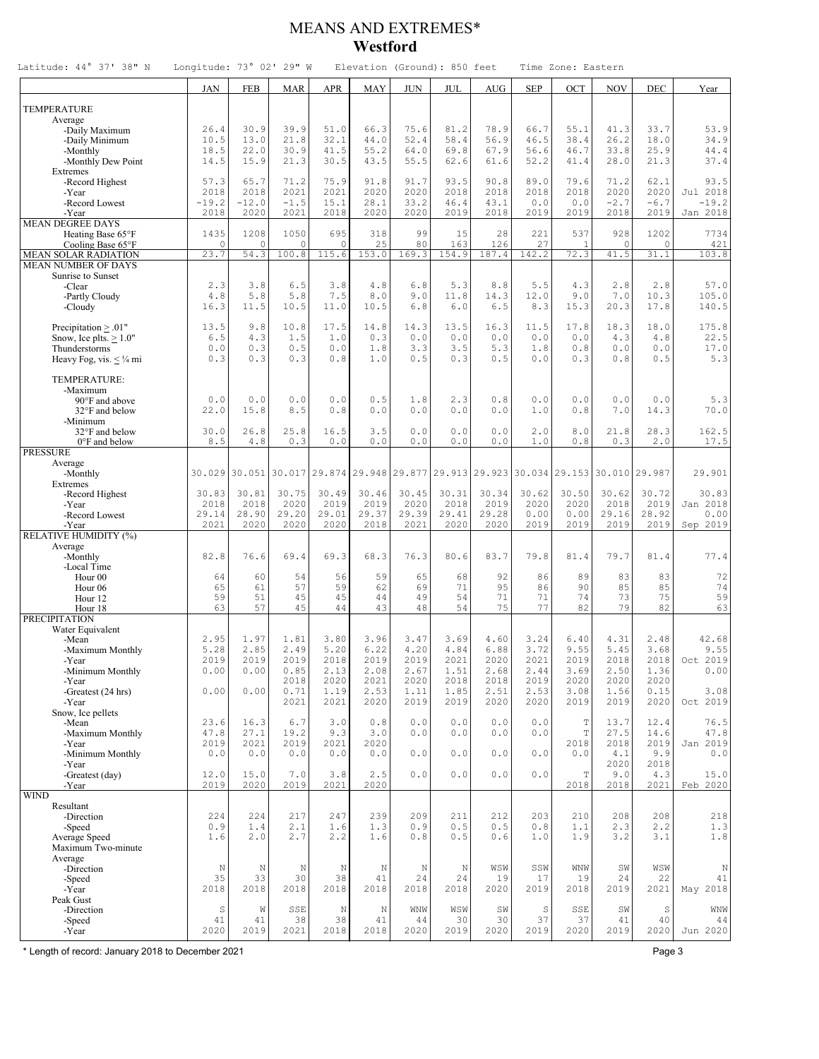#### MEANS AND EXTREMES\* **Westford**

| Latitude: 44° 37' 38" N                                   | Longitude: 73° 02' 29" W |                  |                |               |                | Elevation (Ground): 850 feet                                          |                                |                              |                                                               | Time Zone: Eastern         |                |                |                     |
|-----------------------------------------------------------|--------------------------|------------------|----------------|---------------|----------------|-----------------------------------------------------------------------|--------------------------------|------------------------------|---------------------------------------------------------------|----------------------------|----------------|----------------|---------------------|
|                                                           | <b>JAN</b>               | <b>FEB</b>       | <b>MAR</b>     | <b>APR</b>    | <b>MAY</b>     | <b>JUN</b>                                                            | JUL                            | <b>AUG</b>                   | <b>SEP</b>                                                    | OCT                        | <b>NOV</b>     | DEC            | Year                |
| <b>TEMPERATURE</b>                                        |                          |                  |                |               |                |                                                                       |                                |                              |                                                               |                            |                |                |                     |
| Average                                                   |                          |                  |                |               | 66.3           |                                                                       |                                |                              |                                                               |                            |                |                |                     |
| -Daily Maximum<br>-Daily Minimum                          | 26.4<br>10.5             | 30.9<br>13.0     | 39.9<br>21.8   | 51.0<br>32.1  | 44.0           | 75.6<br>52.4                                                          | 81.2<br>58.4                   | 78.9<br>56.9                 | 66.7<br>46.5                                                  | 55.1<br>38.4               | 41.3<br>26.2   | 33.7<br>18.0   | 53.9<br>34.9        |
| -Monthly                                                  | 18.5                     | 22.0             | 30.9           | 41.5          | 55.2           | 64.0                                                                  | 69.8                           | 67.9                         | 56.6                                                          | 46.7                       | 33.8           | 25.9           | 44.4                |
| -Monthly Dew Point<br>Extremes                            | 14.5                     | 15.9             | 21.3           | 30.5          | 43.5           | 55.5                                                                  | 62.6                           | 61.6                         | 52.2                                                          | 41.4                       | 28.0           | 21.3           | 37.4                |
| -Record Highest                                           | 57.3                     | 65.7             | 71.2           | 75.9          | 91.8           | 91.7                                                                  | 93.5                           | 90.8                         | 89.0                                                          | 79.6                       | 71.2           | 62.1           | 93.5                |
| -Year<br>-Record Lowest                                   | 2018<br>$-19.2$          | 2018<br>$-12.0$  | 2021<br>$-1.5$ | 2021<br>15.1  | 2020<br>28.1   | 2020<br>33.2                                                          | 2018<br>46.4                   | 2018<br>43.1                 | 2018<br>0.0                                                   | 2018<br>0.0                | 2020<br>$-2.7$ | 2020<br>$-6.7$ | Jul 2018<br>$-19.2$ |
| -Year                                                     | 2018                     | 2020             | 2021           | 2018          | 2020           | 2020                                                                  | 2019                           | 2018                         | 2019                                                          | 2019                       | 2018           | 2019           | Jan 2018            |
| <b>MEAN DEGREE DAYS</b><br>Heating Base 65°F              | 1435                     | 1208             | 1050           | 695           | 318            | 99                                                                    | 15                             | 28                           | 221                                                           | 537                        | 928            | 1202           | 7734                |
| Cooling Base 65°F                                         | $\circ$                  | 0                | $\Omega$       | $\mathbf 0$   | 25             | 80                                                                    | 163                            | 126                          | 27                                                            | $\mathbf{1}$               | $\mathbf 0$    | $\circ$        | 421                 |
| <b>MEAN SOLAR RADIATION</b><br><b>MEAN NUMBER OF DAYS</b> | 23.7                     | 54.3             | 100.8          | 115.6         | 153.0          | 169.3                                                                 | 154.9                          | 187.4                        | 142.2                                                         | 72.3                       | 41.5           | 31.1           | 103.8               |
| Sunrise to Sunset                                         |                          | 3.8              |                |               |                |                                                                       |                                |                              |                                                               |                            |                |                |                     |
| -Clear<br>-Partly Cloudy                                  | 2.3<br>4.8               | 5.8              | 6.5<br>5.8     | 3.8<br>7.5    | $4.8\,$<br>8.0 | 6.8<br>9.0                                                            | 5.3<br>11.8                    | 8.8<br>14.3                  | 5.5<br>12.0                                                   | 4.3<br>9.0                 | 2.8<br>7.0     | 2.8<br>10.3    | 57.0<br>105.0       |
| -Cloudy                                                   | 16.3                     | 11.5             | 10.5           | 11.0          | 10.5           | 6.8                                                                   | 6.0                            | 6.5                          | 8.3                                                           | 15.3                       | 20.3           | 17.8           | 140.5               |
| Precipitation $\geq .01"$                                 | 13.5                     | 9.8              | 10.8           | 17.5          | 14.8           | 14.3                                                                  | 13.5                           | 16.3                         | 11.5                                                          | 17.8                       | 18.3           | 18.0           | 175.8               |
| Snow, Ice plts. $> 1.0$ "                                 | 6.5<br>0.0               | 4.3<br>0.3       | 1.5<br>0.5     | 1.0<br>0.0    | 0.3<br>1.8     | 0.0<br>3.3                                                            | 0.0<br>3.5                     | 0.0<br>5.3                   | 0.0<br>1.8                                                    | 0.0<br>0.8                 | 4.3<br>0.0     | 4.8<br>0.0     | 22.5<br>17.0        |
| Thunderstorms<br>Heavy Fog, vis. $\lt$ 1/4 mi             | 0.3                      | 0.3              | 0.3            | 0.8           | 1.0            | 0.5                                                                   | 0.3                            | 0.5                          | 0.0                                                           | 0.3                        | 0.8            | 0.5            | 5.3                 |
| TEMPERATURE:                                              |                          |                  |                |               |                |                                                                       |                                |                              |                                                               |                            |                |                |                     |
| -Maximum                                                  |                          |                  |                |               |                |                                                                       |                                |                              |                                                               |                            |                |                |                     |
| 90°F and above<br>32°F and below                          | 0.0<br>22.0              | 0.0<br>15.8      | 0.0<br>8.5     | 0.0<br>0.8    | 0.5<br>0.0     | 1.8<br>0.0                                                            | 2.3<br>0.0                     | 0.8<br>0.0                   | 0.0<br>1.0                                                    | 0.0<br>0.8                 | 0.0<br>7.0     | 0.0<br>14.3    | 5.3<br>70.0         |
| -Minimum                                                  |                          |                  |                |               |                |                                                                       |                                |                              |                                                               |                            |                |                |                     |
| 32°F and below<br>0°F and below                           | 30.0<br>8.5              | 26.8<br>4.8      | 25.8<br>0.3    | 16.5<br>0.0   | 3.5<br>$0.0$   | 0.0<br>$0.0$                                                          | 0.0<br>0.0                     | 0.0<br>${\bf 0}$ . ${\bf 0}$ | 2.0<br>1.0                                                    | 8.0<br>0.8                 | 21.8<br>0.3    | 28.3<br>2.0    | 162.5<br>17.5       |
| <b>PRESSURE</b>                                           |                          |                  |                |               |                |                                                                       |                                |                              |                                                               |                            |                |                |                     |
| Average<br>-Monthly                                       |                          | 30.029 30.051    |                |               |                | 30.017 29.874 29.948 29.877 29.913 29.923 30.034 29.153 30.010 29.987 |                                |                              |                                                               |                            |                |                | 29.901              |
| Extremes                                                  |                          |                  |                |               |                |                                                                       |                                |                              |                                                               |                            |                |                |                     |
| -Record Highest<br>-Year                                  | 30.83<br>2018            | 30.81<br>2018    | 30.75<br>2020  | 30.49<br>2019 | 30.46<br>2019  | 30.45<br>2020                                                         | 30.31<br>2018                  | 30.34<br>2019                | 30.62<br>2020                                                 | 30.50<br>2020              | 30.62<br>2018  | 30.72<br>2019  | 30.83<br>Jan 2018   |
| -Record Lowest                                            | 29.14                    | 28.90            | 29.20          | 29.01         | 29.37          | 29.39                                                                 | 29.41                          | 29.28                        | 0.00                                                          | 0.00                       | 29.16          | 28.92          | 0.00                |
| -Year<br>RELATIVE HUMIDITY (%)                            | 2021                     | 2020             | 2020           | 2020          | 2018           | 2021                                                                  | 2020                           | 2020                         | 2019                                                          | 2019                       | 2019           | 2019           | Sep 2019            |
| Average                                                   | 82.8                     | 76.6             | 69.4           | 69.3          | 68.3           | 76.3                                                                  | 80.6                           | 83.7                         | 79.8                                                          | 81.4                       | 79.7           | 81.4           | 77.4                |
| -Monthly<br>-Local Time                                   |                          |                  |                |               |                |                                                                       |                                |                              |                                                               |                            |                |                |                     |
| Hour <sub>00</sub><br>Hour <sub>06</sub>                  | 64<br>65                 | 60<br>61         | 54<br>57       | 56<br>59      | 59<br>62       | 65<br>69                                                              | 68<br>71                       | 92<br>95                     | 86<br>86                                                      | 89<br>90                   | 83<br>85       | 83<br>85       | 72<br>74            |
| Hour 12                                                   | 59                       | 51               | 45             | 45            | 44             | 49                                                                    | 54                             | 71                           | 71                                                            | 74                         | 73             | 75             | 59                  |
| Hour 18<br><b>PRECIPITATION</b>                           | 63                       | 57               | 45             | 44            | 43             | 48                                                                    | 54                             | 75                           | 77                                                            | 82                         | 79             | 82             | 63                  |
| Water Equivalent                                          |                          |                  |                |               |                |                                                                       |                                |                              |                                                               |                            |                |                |                     |
| -Mean<br>-Maximum Monthly                                 | 2.95<br>5.28             | 1.97<br>2.85     | 1.81<br>2.49   | 3.80<br>5.20  | 3.96<br>6.22   | 3.47<br>4.20                                                          | 3.69<br>4.84                   | 4.60<br>6.88                 | 3.24<br>3.72                                                  | 6.40<br>9.55               | 4.31<br>5.45   | 2.48<br>3.68   | 42.68<br>9.55       |
| -Year                                                     | 2019                     | 2019             | 2019           | 2018          | 2019           | 2019                                                                  | 2021                           | 2020                         | 2021                                                          | 2019                       | 2018           | 2018           | Oct 2019            |
| -Minimum Monthly<br>-Year                                 | 0.00                     | $0.00$           | 0.85<br>2018   | 2.13<br>2020  | 2.08<br>2021   | 2.67<br>2020                                                          | 1.51<br>2018                   | 2.68<br>2018                 | 2.44<br>2019                                                  | 3.69<br>2020               | 2.50<br>2020   | 1.36<br>2020   | 0.00                |
| -Greatest (24 hrs)                                        | 0.00                     | 0.00             | 0.71           | 1.19          | 2.53           | 1.11<br>2019                                                          | 1.85                           | 2.51                         | 2.53                                                          | 3.08                       | 1.56           | 0.15           | 3.08                |
| -Year<br>Snow, Ice pellets                                |                          |                  | 2021           | 2021          | 2020           |                                                                       | 2019                           | 2020                         | 2020                                                          | 2019                       | 2019           | 2020           | Oct 2019            |
| -Mean<br>-Maximum Monthly                                 | 23.6<br>47.8             | 16.3<br>27.1     | $6.7$<br>19.2  | 3.0<br>9.3    | 0.8<br>3.0     | $0.0$<br>0.0                                                          | ${\bf 0}$ . ${\bf 0}$<br>$0.0$ | $0.0$<br>$0.0$               | $\ensuremath{\mathbf 0}$ .<br>$\ensuremath{\mathbf 0}$<br>0.0 | $\mathbb T$<br>$\mathbf T$ | 13.7<br>27.5   | 12.4<br>14.6   | 76.5<br>47.8        |
| -Year                                                     | 2019                     | 2021             | 2019           | 2021          | 2020           |                                                                       |                                |                              |                                                               | 2018                       | 2018           | 2019           | Jan 2019            |
| -Minimum Monthly<br>-Year                                 | 0.0                      | 0.0              | 0.0            | 0.0           | 0.0            | $0.0$                                                                 | $0.0$                          | $0.0$                        | 0.0                                                           | 0.0                        | 4.1<br>2020    | 9.9<br>2018    | 0.0                 |
| -Greatest (day)                                           | 12.0                     | 15.0             | 7.0            | 3.8           | 2.5            | 0.0                                                                   | $0.0$                          | $0.0$                        | 0.0                                                           | $\mathbf T$                | 9.0            | 4.3            | 15.0                |
| -Year<br><b>WIND</b>                                      | 2019                     | 2020             | 2019           | 2021          | 2020           |                                                                       |                                |                              |                                                               | 2018                       | 2018           | 2021           | Feb 2020            |
| Resultant                                                 |                          |                  |                |               |                |                                                                       |                                |                              |                                                               |                            |                |                |                     |
| -Direction<br>-Speed                                      | 224<br>0.9               | 224<br>1.4       | 217<br>2.1     | 247<br>1.6    | 239<br>1.3     | 209<br>0.9                                                            | 211<br>$0.5$                   | 212<br>$0.5$                 | 203<br>0.8                                                    | 210<br>1.1                 | 208<br>2.3     | 208<br>2.2     | 218<br>1.3          |
| Average Speed                                             | 1.6                      | 2.0              | 2.7            | 2.2           | 1.6            | 0.8                                                                   | 0.5                            | 0.6                          | 1.0                                                           | 1.9                        | 3.2            | 3.1            | $1.8\,$             |
| Maximum Two-minute<br>Average                             |                          |                  |                |               |                |                                                                       |                                |                              |                                                               |                            |                |                |                     |
| -Direction                                                | N                        | $\, {\mathbb N}$ | N              | N             | $\rm N$        | N                                                                     | $\mathbb N$                    | WSW                          | SSW                                                           | WNW                        | $\mbox{SW}$    | WSW            | N                   |
| -Speed<br>-Year                                           | 35<br>2018               | 33<br>2018       | 30<br>2018     | 38<br>2018    | 41<br>2018     | 24<br>2018                                                            | 24<br>2018                     | 19<br>2020                   | 17<br>2019                                                    | 19<br>2018                 | 24<br>2019     | 22<br>2021     | 41<br>May 2018      |
| Peak Gust                                                 |                          |                  |                |               |                |                                                                       |                                |                              |                                                               |                            |                |                |                     |
| -Direction<br>-Speed                                      | S<br>41                  | W<br>41          | SSE<br>38      | N<br>38       | $\rm N$<br>41  | WNW<br>44                                                             | WSW<br>30                      | SW<br>30                     | $\mathbb S$<br>37                                             | SSE<br>37                  | SW<br>41       | S<br>40        | WNW<br>44           |
| -Year                                                     | 2020                     | 2019             | 2021           | 2018          | 2018           | 2020                                                                  | 2019                           | 2020                         | 2019                                                          | 2020                       | 2019           | 2020           | Jun 2020            |

\* Length of record: January 2018 to December 2021 **Page 3**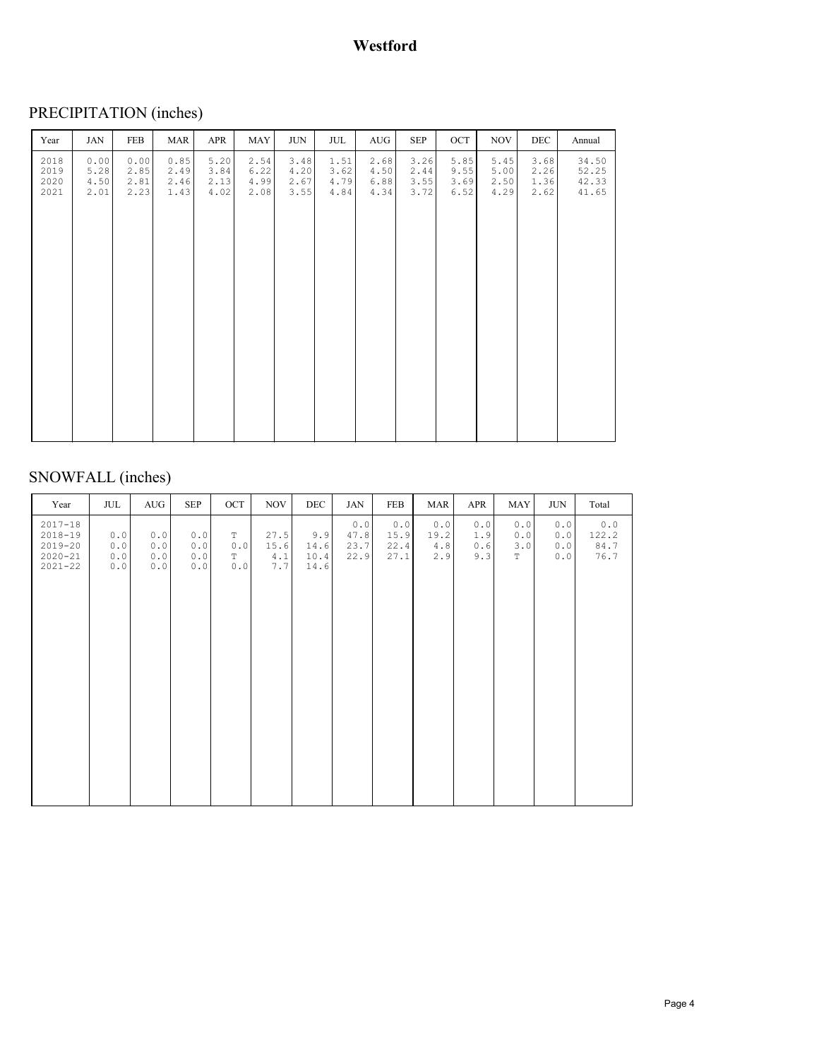# PRECIPITATION (inches)

| Year                         | JAN                          | <b>FEB</b>                   | MAR                          | APR                          | <b>MAY</b>                   | <b>JUN</b>                   | JUL                          | AUG                          | <b>SEP</b>                   | OCT                          | <b>NOV</b>                   | <b>DEC</b>                   | Annual                           |
|------------------------------|------------------------------|------------------------------|------------------------------|------------------------------|------------------------------|------------------------------|------------------------------|------------------------------|------------------------------|------------------------------|------------------------------|------------------------------|----------------------------------|
| 2018<br>2019<br>2020<br>2021 | 0.00<br>5.28<br>4.50<br>2.01 | 0.00<br>2.85<br>2.81<br>2.23 | 0.85<br>2.49<br>2.46<br>1.43 | 5.20<br>3.84<br>2.13<br>4.02 | 2.54<br>6.22<br>4.99<br>2.08 | 3.48<br>4.20<br>2.67<br>3.55 | 1.51<br>3.62<br>4.79<br>4.84 | 2.68<br>4.50<br>6.88<br>4.34 | 3.26<br>2.44<br>3.55<br>3.72 | 5.85<br>9.55<br>3.69<br>6.52 | 5.45<br>5.00<br>2.50<br>4.29 | 3.68<br>2.26<br>1.36<br>2.62 | 34.50<br>52.25<br>42.33<br>41.65 |
|                              |                              |                              |                              |                              |                              |                              |                              |                              |                              |                              |                              |                              |                                  |

# SNOWFALL (inches)

| Year                                                                    | JUL                      | AUG                        | <b>SEP</b>                                                                   | OCT                                        | <b>NOV</b>                     | DEC                         | JAN                         | FEB                         | MAR                       | APR                      | MAY                              | JUN                      | Total                          |
|-------------------------------------------------------------------------|--------------------------|----------------------------|------------------------------------------------------------------------------|--------------------------------------------|--------------------------------|-----------------------------|-----------------------------|-----------------------------|---------------------------|--------------------------|----------------------------------|--------------------------|--------------------------------|
| $2017 - 18$<br>$2018 - 19$<br>$2019 - 20$<br>$2020 - 21$<br>$2021 - 22$ | 0.0<br>0.0<br>0.0<br>0.0 | 0.0<br>0.0<br>$0.0$<br>0.0 | 0.0<br>$0.0$<br>$0.0$<br>$\ensuremath{\mathbf 0}$ . $\ensuremath{\mathbf 0}$ | $\mathbb T$<br>0.0<br>$\mathbb T$<br>$0.0$ | 27.5<br>15.6<br>$4.1\,$<br>7.7 | 9.9<br>14.6<br>10.4<br>14.6 | 0.0<br>47.8<br>23.7<br>22.9 | 0.0<br>15.9<br>22.4<br>27.1 | 0.0<br>19.2<br>4.8<br>2.9 | 0.0<br>1.9<br>0.6<br>9.3 | 0.0<br>0.0<br>3.0<br>$\mathbb T$ | 0.0<br>0.0<br>0.0<br>0.0 | $0.0$<br>122.2<br>84.7<br>76.7 |
|                                                                         |                          |                            |                                                                              |                                            |                                |                             |                             |                             |                           |                          |                                  |                          |                                |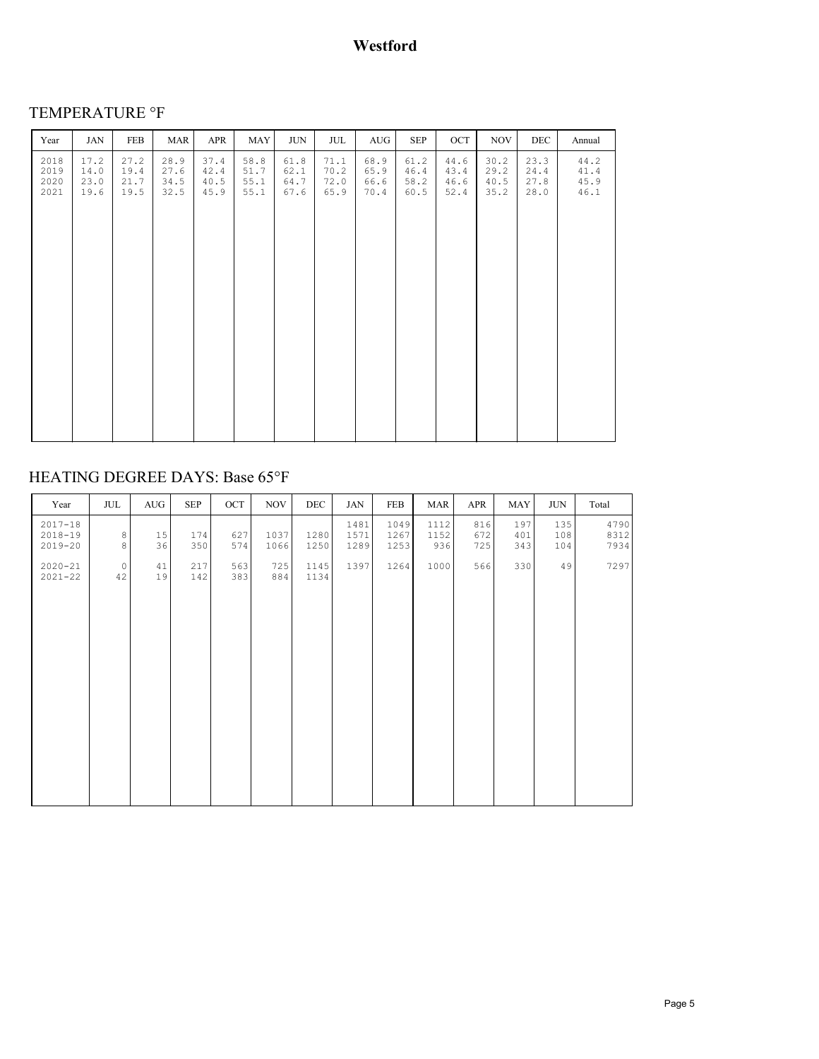# TEMPERATURE °F

| Year                         | <b>JAN</b>                   | FEB                          | MAR                          | APR                          | MAY                          | JUN                          | JUL                          | AUG                          | <b>SEP</b>                   | OCT                          | <b>NOV</b>                   | <b>DEC</b>                   | Annual                       |
|------------------------------|------------------------------|------------------------------|------------------------------|------------------------------|------------------------------|------------------------------|------------------------------|------------------------------|------------------------------|------------------------------|------------------------------|------------------------------|------------------------------|
| 2018<br>2019<br>2020<br>2021 | 17.2<br>14.0<br>23.0<br>19.6 | 27.2<br>19.4<br>21.7<br>19.5 | 28.9<br>27.6<br>34.5<br>32.5 | 37.4<br>42.4<br>40.5<br>45.9 | 58.8<br>51.7<br>55.1<br>55.1 | 61.8<br>62.1<br>64.7<br>67.6 | 71.1<br>70.2<br>72.0<br>65.9 | 68.9<br>65.9<br>66.6<br>70.4 | 61.2<br>46.4<br>58.2<br>60.5 | 44.6<br>43.4<br>46.6<br>52.4 | 30.2<br>29.2<br>40.5<br>35.2 | 23.3<br>24.4<br>27.8<br>28.0 | 44.2<br>41.4<br>45.9<br>46.1 |
|                              |                              |                              |                              |                              |                              |                              |                              |                              |                              |                              |                              |                              |                              |

# HEATING DEGREE DAYS: Base 65°F

| Year                                      | JUL                | AUG      | <b>SEP</b> | OCT        | <b>NOV</b>   | DEC          | <b>JAN</b>           | FEB                  | MAR                 | APR               | MAY               | <b>JUN</b>        | Total                |
|-------------------------------------------|--------------------|----------|------------|------------|--------------|--------------|----------------------|----------------------|---------------------|-------------------|-------------------|-------------------|----------------------|
| $2017 - 18$<br>$2018 - 19$<br>$2019 - 20$ | $_{\rm 8}^{\rm 8}$ | 15<br>36 | 174<br>350 | 627<br>574 | 1037<br>1066 | 1280<br>1250 | 1481<br>1571<br>1289 | 1049<br>1267<br>1253 | 1112<br>1152<br>936 | 816<br>672<br>725 | 197<br>401<br>343 | 135<br>108<br>104 | 4790<br>8312<br>7934 |
| $2020 - 21$<br>$2021 - 22$                | $\circ$<br>42      | 41<br>19 | 217<br>142 | 563<br>383 | 725<br>884   | 1145<br>1134 | 1397                 | 1264                 | 1000                | 566               | 330               | 49                | 7297                 |
|                                           |                    |          |            |            |              |              |                      |                      |                     |                   |                   |                   |                      |
|                                           |                    |          |            |            |              |              |                      |                      |                     |                   |                   |                   |                      |
|                                           |                    |          |            |            |              |              |                      |                      |                     |                   |                   |                   |                      |
|                                           |                    |          |            |            |              |              |                      |                      |                     |                   |                   |                   |                      |
|                                           |                    |          |            |            |              |              |                      |                      |                     |                   |                   |                   |                      |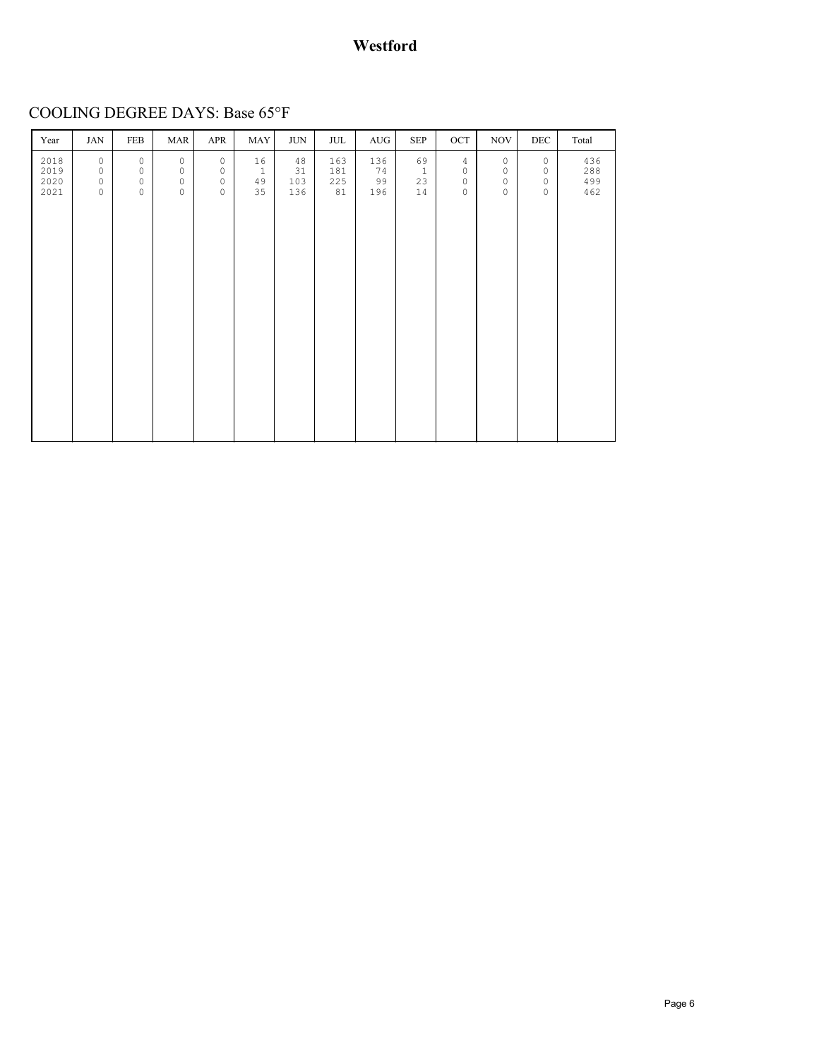## **Westford**

COOLING DEGREE DAYS: Base 65°F

| Year | JAN     | FEB     | <b>MAR</b> | APR     | MAY          | <b>JUN</b> | JUL | AUG | <b>SEP</b>   | OCT            | <b>NOV</b> | DEC     | Total |
|------|---------|---------|------------|---------|--------------|------------|-----|-----|--------------|----------------|------------|---------|-------|
| 2018 | $\circ$ | $\circ$ | $\circ$    | $\circ$ | 16           | 48         | 163 | 136 | 69           | $\overline{4}$ | $\circ$    | $\circ$ | 436   |
| 2019 | $\circ$ | $\circ$ | $\circ$    | $\circ$ | $\mathbf{1}$ | 31         | 181 | 74  | $\mathbf{1}$ | $\circ$        | $\circ$    | $\circ$ | 288   |
| 2020 | $\circ$ | $\circ$ | $\circ$    | $\circ$ | 49           | 103        | 225 | 99  | 23           | $\circ$        | $\circ$    | $\circ$ | 499   |
| 2021 | $\circ$ | $\circ$ | $\circ$    | $\circ$ | 35           | 136        | 81  | 196 | 14           | $\circ$        | $\circ$    | $\circ$ | 462   |